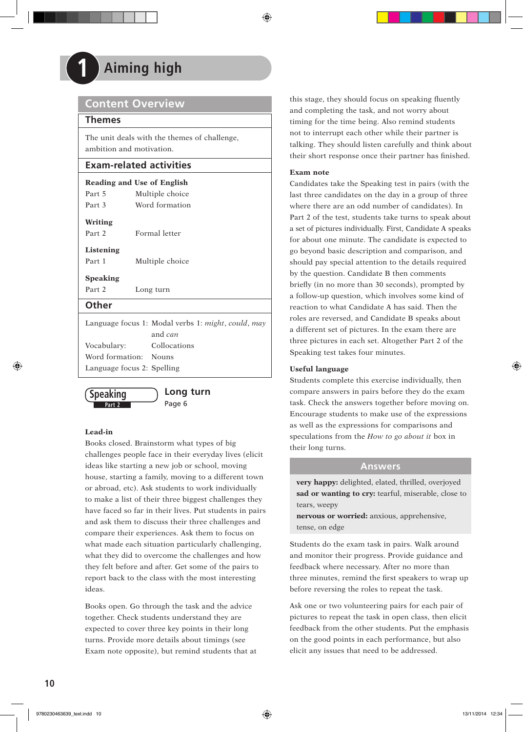# **1 Aiming high**

# **Content Overview**

# **Themes**

The unit deals with the themes of challenge, ambition and motivation.

# **Exam-related activities**

| Multiple choice<br>Word formation                                    |  |  |  |  |
|----------------------------------------------------------------------|--|--|--|--|
|                                                                      |  |  |  |  |
| Listening<br>Part 1<br>Multiple choice                               |  |  |  |  |
|                                                                      |  |  |  |  |
| Long turn                                                            |  |  |  |  |
|                                                                      |  |  |  |  |
| Language focus 1: Modal verbs 1: <i>might, could, may</i><br>and can |  |  |  |  |
| Collocations                                                         |  |  |  |  |
| Word formation: Nouns                                                |  |  |  |  |
|                                                                      |  |  |  |  |



Language focus 2: Spelling

# **Lead-in**

Books closed. Brainstorm what types of big challenges people face in their everyday lives (elicit ideas like starting a new job or school, moving house, starting a family, moving to a different town or abroad, etc). Ask students to work individually to make a list of their three biggest challenges they have faced so far in their lives. Put students in pairs and ask them to discuss their three challenges and compare their experiences. Ask them to focus on what made each situation particularly challenging, what they did to overcome the challenges and how they felt before and after. Get some of the pairs to report back to the class with the most interesting ideas.

Books open. Go through the task and the advice together. Check students understand they are expected to cover three key points in their long turns. Provide more details about timings (see Exam note opposite), but remind students that at this stage, they should focus on speaking fluently and completing the task, and not worry about timing for the time being. Also remind students not to interrupt each other while their partner is talking. They should listen carefully and think about their short response once their partner has finished.

# **Exam note**

Candidates take the Speaking test in pairs (with the last three candidates on the day in a group of three where there are an odd number of candidates). In Part 2 of the test, students take turns to speak about a set of pictures individually. First, Candidate A speaks for about one minute. The candidate is expected to go beyond basic description and comparison, and should pay special attention to the details required by the question. Candidate B then comments briefly (in no more than 30 seconds), prompted by a follow-up question, which involves some kind of reaction to what Candidate A has said. Then the roles are reversed, and Candidate B speaks about a different set of pictures. In the exam there are three pictures in each set. Altogether Part 2 of the Speaking test takes four minutes.

# **Useful language**

Students complete this exercise individually, then compare answers in pairs before they do the exam task. Check the answers together before moving on. Encourage students to make use of the expressions as well as the expressions for comparisons and speculations from the *How to go about it* box in their long turns.

# **Answers**

**very happy:** delighted, elated, thrilled, overjoyed **sad or wanting to cry:** tearful, miserable, close to tears, weepy

**nervous or worried:** anxious, apprehensive, tense, on edge

Students do the exam task in pairs. Walk around and monitor their progress. Provide guidance and feedback where necessary. After no more than three minutes, remind the first speakers to wrap up before reversing the roles to repeat the task.

Ask one or two volunteering pairs for each pair of pictures to repeat the task in open class, then elicit feedback from the other students. Put the emphasis on the good points in each performance, but also elicit any issues that need to be addressed.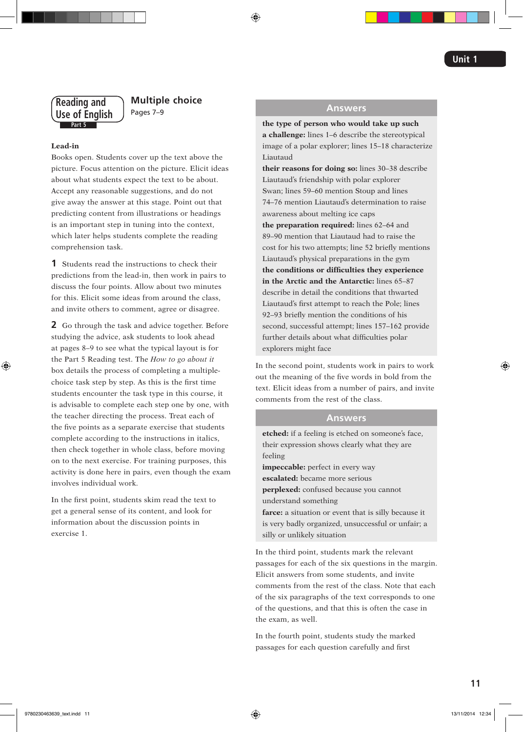# **Part 5 Reading and Use of English**

# **Multiple choice** Pages 7–9

### **Lead-in**

Books open. Students cover up the text above the picture. Focus attention on the picture. Elicit ideas about what students expect the text to be about. Accept any reasonable suggestions, and do not give away the answer at this stage. Point out that predicting content from illustrations or headings is an important step in tuning into the context, which later helps students complete the reading comprehension task.

**1** Students read the instructions to check their predictions from the lead-in, then work in pairs to discuss the four points. Allow about two minutes for this. Elicit some ideas from around the class, and invite others to comment, agree or disagree.

**2** Go through the task and advice together. Before studying the advice, ask students to look ahead at pages 8–9 to see what the typical layout is for the Part 5 Reading test. The *How to go about it* box details the process of completing a multiplechoice task step by step. As this is the first time students encounter the task type in this course, it is advisable to complete each step one by one, with the teacher directing the process. Treat each of the five points as a separate exercise that students complete according to the instructions in italics, then check together in whole class, before moving on to the next exercise. For training purposes, this activity is done here in pairs, even though the exam involves individual work.

In the first point, students skim read the text to get a general sense of its content, and look for information about the discussion points in exercise 1.

# **Answers**

**the type of person who would take up such a challenge:** lines 1–6 describe the stereotypical image of a polar explorer; lines 15–18 characterize Liautaud

**their reasons for doing so:** lines 30–38 describe Liautaud's friendship with polar explorer Swan; lines 59–60 mention Stoup and lines 74–76 mention Liautaud's determination to raise awareness about melting ice caps

**the preparation required:** lines 62–64 and 89–90 mention that Liautaud had to raise the cost for his two attempts; line 52 briefly mentions Liautaud's physical preparations in the gym **the conditions or difficulties they experience in the Arctic and the Antarctic:** lines 65–87 describe in detail the conditions that thwarted Liautaud's first attempt to reach the Pole; lines 92–93 briefly mention the conditions of his second, successful attempt; lines 157–162 provide further details about what difficulties polar explorers might face

In the second point, students work in pairs to work out the meaning of the five words in bold from the text. Elicit ideas from a number of pairs, and invite comments from the rest of the class.

# **Answers**

**etched:** if a feeling is etched on someone's face, their expression shows clearly what they are feeling **impeccable:** perfect in every way **escalated:** became more serious **perplexed:** confused because you cannot understand something **farce:** a situation or event that is silly because it is very badly organized, unsuccessful or unfair; a silly or unlikely situation

In the third point, students mark the relevant passages for each of the six questions in the margin. Elicit answers from some students, and invite comments from the rest of the class. Note that each of the six paragraphs of the text corresponds to one of the questions, and that this is often the case in the exam, as well.

In the fourth point, students study the marked passages for each question carefully and first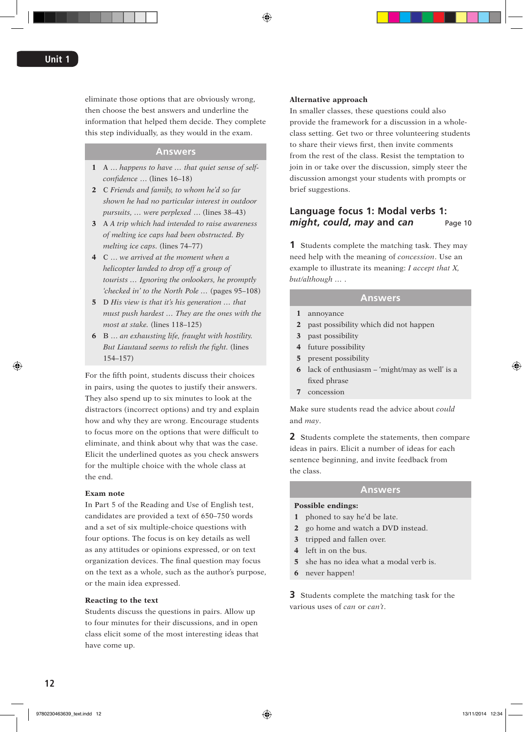eliminate those options that are obviously wrong, then choose the best answers and underline the information that helped them decide. They complete this step individually, as they would in the exam.

### **Answers**

- **1** A … *happens to have … that quiet sense of selfconfidence* … (lines 16–18)
- **2** C *Friends and family, to whom he'd so far shown he had no particular interest in outdoor pursuits, … were perplexed* … (lines 38–43)
- **3** A *A trip which had intended to raise awareness of melting ice caps had been obstructed. By melting ice caps.* (lines 74–77)
- **4** C … *we arrived at the moment when a helicopter landed to drop off a group of tourists … Ignoring the onlookers, he promptly 'checked in' to the North Pole …* (pages 95–108)
- **5** D *His view is that it's his generation … that must push hardest … They are the ones with the most at stake.* (lines 118–125)
- **6** B … *an exhausting life, fraught with hostility. But Liautaud seems to relish the fight.* (lines 154–157)

For the fifth point, students discuss their choices in pairs, using the quotes to justify their answers. They also spend up to six minutes to look at the distractors (incorrect options) and try and explain how and why they are wrong. Encourage students to focus more on the options that were difficult to eliminate, and think about why that was the case. Elicit the underlined quotes as you check answers for the multiple choice with the whole class at the end.

#### **Exam note**

In Part 5 of the Reading and Use of English test, candidates are provided a text of 650–750 words and a set of six multiple-choice questions with four options. The focus is on key details as well as any attitudes or opinions expressed, or on text organization devices. The final question may focus on the text as a whole, such as the author's purpose, or the main idea expressed.

#### **Reacting to the text**

Students discuss the questions in pairs. Allow up to four minutes for their discussions, and in open class elicit some of the most interesting ideas that have come up.

#### **Alternative approach**

In smaller classes, these questions could also provide the framework for a discussion in a wholeclass setting. Get two or three volunteering students to share their views first, then invite comments from the rest of the class. Resist the temptation to join in or take over the discussion, simply steer the discussion amongst your students with prompts or brief suggestions.

# **Language focus 1: Modal verbs 1:**  *might***,** *could***,** *may* **and** *can* Page 10

**1** Students complete the matching task. They may need help with the meaning of *concession*. Use an example to illustrate its meaning: *I accept that X, but/although … .*

# **Answers**

- **1** annoyance
- **2** past possibility which did not happen
- **3** past possibility
- **4** future possibility
- **5** present possibility
- **6** lack of enthusiasm 'might/may as well' is a fixed phrase
- **7** concession

Make sure students read the advice about *could* and *may*.

**2** Students complete the statements, then compare ideas in pairs. Elicit a number of ideas for each sentence beginning, and invite feedback from the class.

### **Answers**

#### **Possible endings:**

- **1** phoned to say he'd be late.
- **2** go home and watch a DVD instead.
- **3** tripped and fallen over.
- **4** left in on the bus.
- **5** she has no idea what a modal verb is.
- **6** never happen!

**3** Students complete the matching task for the various uses of *can* or *can't*.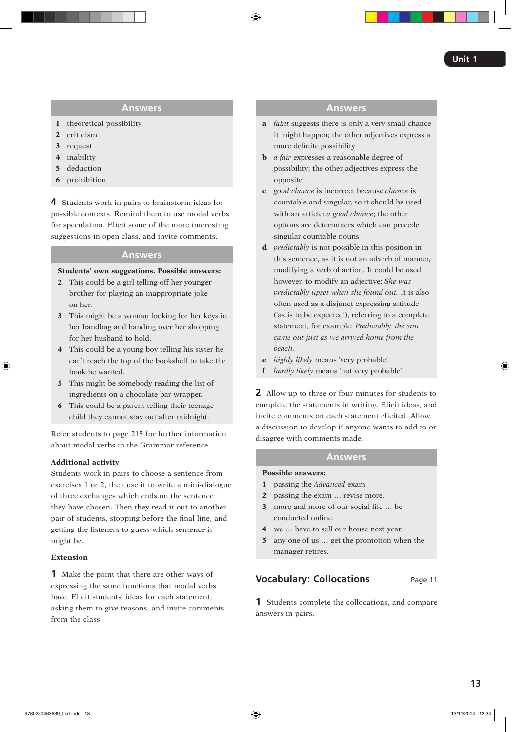# **Answers**

- **1** theoretical possibility
- **2** criticism
- **3** request
- **4** inability
- **5** deduction
- **6** prohibition

**4** Students work in pairs to brainstorm ideas for possible contexts. Remind them to use modal verbs for speculation. Elicit some of the more interesting suggestions in open class, and invite comments.

# **Answers**

### **Students' own suggestions. Possible answers:**

- **2** This could be a girl telling off her younger brother for playing an inappropriate joke on her.
- **3** This might be a woman looking for her keys in her handbag and handing over her shopping for her husband to hold.
- **4** This could be a young boy telling his sister he can't reach the top of the bookshelf to take the book he wanted.
- **5** This might be somebody reading the list of ingredients on a chocolate bar wrapper.
- **6** This could be a parent telling their teenage child they cannot stay out after midnight.

Refer students to page 215 for further information about modal verbs in the Grammar reference.

# **Additional activity**

Students work in pairs to choose a sentence from exercises 1 or 2, then use it to write a mini-dialogue of three exchanges which ends on the sentence they have chosen. Then they read it out to another pair of students, stopping before the final line, and getting the listeners to guess which sentence it might be.

# **Extension**

**1** Make the point that there are other ways of expressing the same functions that modal verbs have. Elicit students' ideas for each statement, asking them to give reasons, and invite comments from the class.

# **Answers**

- **a** *faint* suggests there is only a very small chance it might happen; the other adjectives express a more definite possibility
- **b** *a fair* expresses a reasonable degree of possibility; the other adjectives express the opposite
- **c** *good chance* is incorrect because *chance* is countable and singular, so it should be used with an article: *a good chance*; the other options are determiners which can precede singular countable nouns
- **d** *predictably* is not possible in this position in this sentence, as it is not an adverb of manner, modifying a verb of action. It could be used, however, to modify an adjective: *She was predictably upset when she found out.* It is also often used as a disjunct expressing attitude ('as is to be expected'), referring to a complete statement, for example: *Predictably, the sun came out just as we arrived home from the beach.*
- **e** *highly likely* means 'very probable'
- **f** *hardly likely* means 'not very probable'

**2** Allow up to three or four minutes for students to complete the statements in writing. Elicit ideas, and invite comments on each statement elicited. Allow a discussion to develop if anyone wants to add to or disagree with comments made.

# **Answers**

### **Possible answers:**

- **1** passing the *Advanced* exam
- **2** passing the exam … revise more.
- **3** more and more of our social life … be conducted online.
- **4** we … have to sell our house next year.
- **5** any one of us … get the promotion when the manager retires.

# **Vocabulary: Collocations** Page 11

**1** Students complete the collocations, and compare answers in pairs.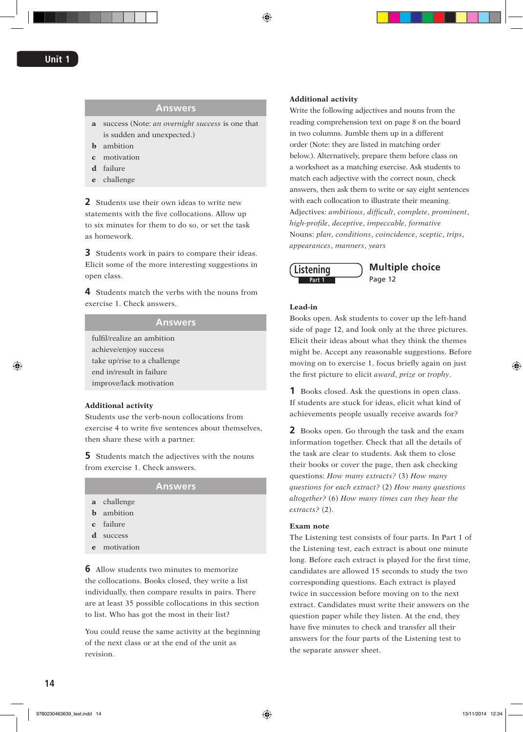# **Answers**

- **a** success (Note: *an overnight success* is one that is sudden and unexpected.)
- **b** ambition
- **c** motivation
- **d** failure
- **e** challenge

**2** Students use their own ideas to write new statements with the five collocations. Allow up to six minutes for them to do so, or set the task as homework.

**3** Students work in pairs to compare their ideas. Elicit some of the more interesting suggestions in open class.

**4** Students match the verbs with the nouns from exercise 1. Check answers.

# **Answers**

fulfil/realize an ambition achieve/enjoy success take up/rise to a challenge end in/result in failure improve/lack motivation

### **Additional activity**

Students use the verb-noun collocations from exercise 4 to write five sentences about themselves, then share these with a partner.

**5** Students match the adjectives with the nouns from exercise 1. Check answers.

#### **Answers**

- **a** challenge
- **b** ambition
- **c** failure
- **d** success
- **e** motivation

**6** Allow students two minutes to memorize the collocations. Books closed, they write a list individually, then compare results in pairs. There are at least 35 possible collocations in this section to list. Who has got the most in their list?

You could reuse the same activity at the beginning of the next class or at the end of the unit as revision.

#### **Additional activity**

Write the following adjectives and nouns from the reading comprehension text on page 8 on the board in two columns. Jumble them up in a different order (Note: they are listed in matching order below.). Alternatively, prepare them before class on a worksheet as a matching exercise. Ask students to match each adjective with the correct noun, check answers, then ask them to write or say eight sentences with each collocation to illustrate their meaning. Adjectives: *ambitious*, *difficult*, *complete*, *prominent*, *high-profile*, *deceptive*, *impeccable*, *formative* Nouns: *plan*, *conditions*, *coincidence*, *sceptic*, *trips*, *appearances*, *manners*, *years*



### **Lead-in**

Books open. Ask students to cover up the left-hand side of page 12, and look only at the three pictures. Elicit their ideas about what they think the themes might be. Accept any reasonable suggestions. Before moving on to exercise 1, focus briefly again on just the first picture to elicit *award*, *prize* or *trophy*.

**1** Books closed. Ask the questions in open class. If students are stuck for ideas, elicit what kind of achievements people usually receive awards for?

**2** Books open. Go through the task and the exam information together. Check that all the details of the task are clear to students. Ask them to close their books or cover the page, then ask checking questions: *How many extracts?* (3) *How many questions for each extract?* (2) *How many questions altogether?* (6) *How many times can they hear the extracts?* (2).

#### **Exam note**

The Listening test consists of four parts. In Part 1 of the Listening test, each extract is about one minute long. Before each extract is played for the first time, candidates are allowed 15 seconds to study the two corresponding questions. Each extract is played twice in succession before moving on to the next extract. Candidates must write their answers on the question paper while they listen. At the end, they have five minutes to check and transfer all their answers for the four parts of the Listening test to the separate answer sheet.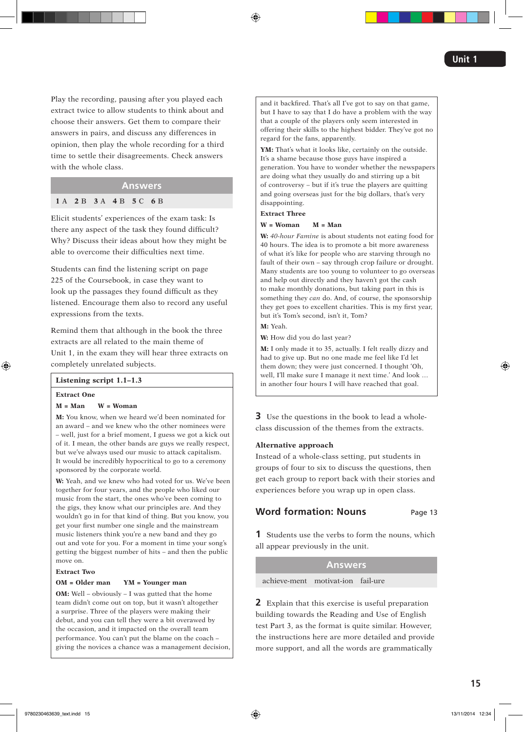Play the recording, pausing after you played each extract twice to allow students to think about and choose their answers. Get them to compare their answers in pairs, and discuss any differences in opinion, then play the whole recording for a third time to settle their disagreements. Check answers with the whole class.

# **Answers**

### **1** A **2** B **3** A **4** B **5** C **6** B

Elicit students' experiences of the exam task: Is there any aspect of the task they found difficult? Why? Discuss their ideas about how they might be able to overcome their difficulties next time.

Students can find the listening script on page 225 of the Coursebook, in case they want to look up the passages they found difficult as they listened. Encourage them also to record any useful expressions from the texts.

Remind them that although in the book the three extracts are all related to the main theme of Unit 1, in the exam they will hear three extracts on completely unrelated subjects.

### **Listening script 1.1–1.3**

#### **Extract One**

#### **M = Man W = Woman**

**M:** You know, when we heard we'd been nominated for an award – and we knew who the other nominees were – well, just for a brief moment, I guess we got a kick out of it. I mean, the other bands are guys we really respect, but we've always used our music to attack capitalism. It would be incredibly hypocritical to go to a ceremony sponsored by the corporate world.

**W:** Yeah, and we knew who had voted for us. We've been together for four years, and the people who liked our music from the start, the ones who've been coming to the gigs, they know what our principles are. And they wouldn't go in for that kind of thing. But you know, you get your first number one single and the mainstream music listeners think you're a new band and they go out and vote for you. For a moment in time your song's getting the biggest number of hits – and then the public move on.

### **Extract Two**

### **OM = Older man YM = Younger man**

**OM:** Well – obviously – I was gutted that the home team didn't come out on top, but it wasn't altogether a surprise. Three of the players were making their debut, and you can tell they were a bit overawed by the occasion, and it impacted on the overall team performance. You can't put the blame on the coach – giving the novices a chance was a management decision, and it backfired. That's all I've got to say on that game, but I have to say that I do have a problem with the way that a couple of the players only seem interested in offering their skills to the highest bidder. They've got no regard for the fans, apparently.

**YM:** That's what it looks like, certainly on the outside. It's a shame because those guys have inspired a generation. You have to wonder whether the newspapers are doing what they usually do and stirring up a bit of controversy – but if it's true the players are quitting and going overseas just for the big dollars, that's very disappointing.

### **Extract Three**

#### **W = Woman M = Man**

**W:** *40-hour Famine* is about students not eating food for 40 hours. The idea is to promote a bit more awareness of what it's like for people who are starving through no fault of their own – say through crop failure or drought. Many students are too young to volunteer to go overseas and help out directly and they haven't got the cash to make monthly donations, but taking part in this is something they *can* do. And, of course, the sponsorship they get goes to excellent charities. This is my first year, but it's Tom's second, isn't it, Tom?

**M:** Yeah.

**W:** How did you do last year?

**M:** I only made it to 35, actually. I felt really dizzy and had to give up. But no one made me feel like I'd let them down; they were just concerned. I thought 'Oh, well, I'll make sure I manage it next time.' And look … in another four hours I will have reached that goal.

**3** Use the questions in the book to lead a wholeclass discussion of the themes from the extracts.

#### **Alternative approach**

Instead of a whole-class setting, put students in groups of four to six to discuss the questions, then get each group to report back with their stories and experiences before you wrap up in open class.

# **Word formation: Nouns** Page 13

**1** Students use the verbs to form the nouns, which all appear previously in the unit.

#### **Answers**

achieve-ment motivat-ion fail-ure

**2** Explain that this exercise is useful preparation building towards the Reading and Use of English test Part 3, as the format is quite similar. However, the instructions here are more detailed and provide more support, and all the words are grammatically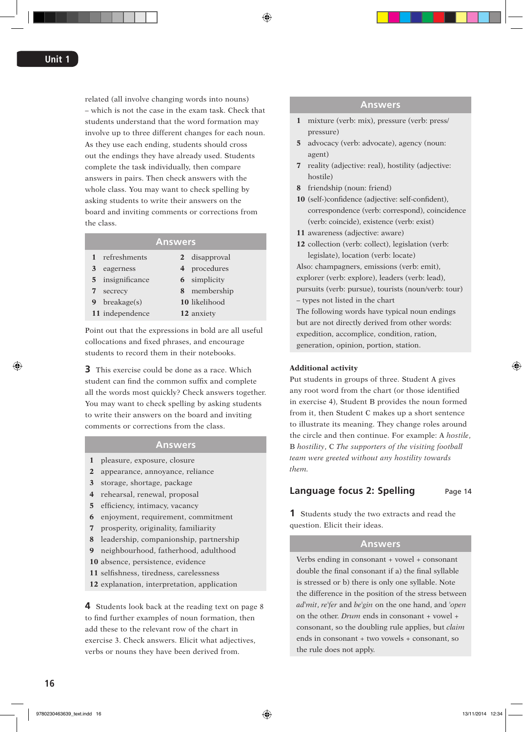related (all involve changing words into nouns) – which is not the case in the exam task. Check that students understand that the word formation may involve up to three different changes for each noun. As they use each ending, students should cross out the endings they have already used. Students complete the task individually, then compare answers in pairs. Then check answers with the whole class. You may want to check spelling by asking students to write their answers on the board and inviting comments or corrections from the class.

# **Answers**

| $\mathbf{1}$ | refreshments    | 2 disapproval       |
|--------------|-----------------|---------------------|
| 3            | eagerness       | 4 procedures        |
| 5.           | insignificance  | <b>6</b> simplicity |
|              | secrecy         | 8 membership        |
| 9.           | breakage(s)     | 10 likelihood       |
|              | 11 independence | 12 anxiety          |
|              |                 |                     |

Point out that the expressions in bold are all useful collocations and fixed phrases, and encourage students to record them in their notebooks.

**3** This exercise could be done as a race. Which student can find the common suffix and complete all the words most quickly? Check answers together. You may want to check spelling by asking students to write their answers on the board and inviting comments or corrections from the class.

# **Answers**

- **1** pleasure, exposure, closure
- **2** appearance, annoyance, reliance
- **3** storage, shortage, package
- **4** rehearsal, renewal, proposal
- **5** efficiency, intimacy, vacancy
- **6** enjoyment, requirement, commitment
- **7** prosperity, originality, familiarity
- **8** leadership, companionship, partnership
- **9** neighbourhood, fatherhood, adulthood
- **10** absence, persistence, evidence
- **11** selfishness, tiredness, carelessness
- **12** explanation, interpretation, application

**4** Students look back at the reading text on page 8 to find further examples of noun formation, then add these to the relevant row of the chart in exercise 3. Check answers. Elicit what adjectives, verbs or nouns they have been derived from.

### **Answers**

- **1** mixture (verb: mix), pressure (verb: press/ pressure)
- **5** advocacy (verb: advocate), agency (noun: agent)
- **7** reality (adjective: real), hostility (adjective: hostile)
- **8** friendship (noun: friend)
- **10** (self-)confidence (adjective: self-confident), correspondence (verb: correspond), coincidence (verb: coincide), existence (verb: exist)
- **11** awareness (adjective: aware)
- **12** collection (verb: collect), legislation (verb: legislate), location (verb: locate)

Also: champagners, emissions (verb: emit), explorer (verb: explore), leaders (verb: lead), pursuits (verb: pursue), tourists (noun/verb: tour) – types not listed in the chart The following words have typical noun endings but are not directly derived from other words:

expedition, accomplice, condition, ration, generation, opinion, portion, station.

### **Additional activity**

Put students in groups of three. Student A gives any root word from the chart (or those identified in exercise 4), Student B provides the noun formed from it, then Student C makes up a short sentence to illustrate its meaning. They change roles around the circle and then continue. For example: A *hostile*, B *hostility*, C *The supporters of the visiting football team were greeted without any hostility towards them.*

# **Language focus 2: Spelling** Page 14

**1** Students study the two extracts and read the question. Elicit their ideas.

# **Answers**

Verbs ending in consonant + vowel + consonant double the final consonant if a) the final syllable is stressed or b) there is only one syllable. Note the difference in the position of the stress between *ad*ˈ*mit*, *re*ˈ*fer* and *be*ˈ*gin* on the one hand, and ˈ*open* on the other. *Drum* ends in consonant + vowel + consonant, so the doubling rule applies, but *claim* ends in consonant + two vowels + consonant, so the rule does not apply.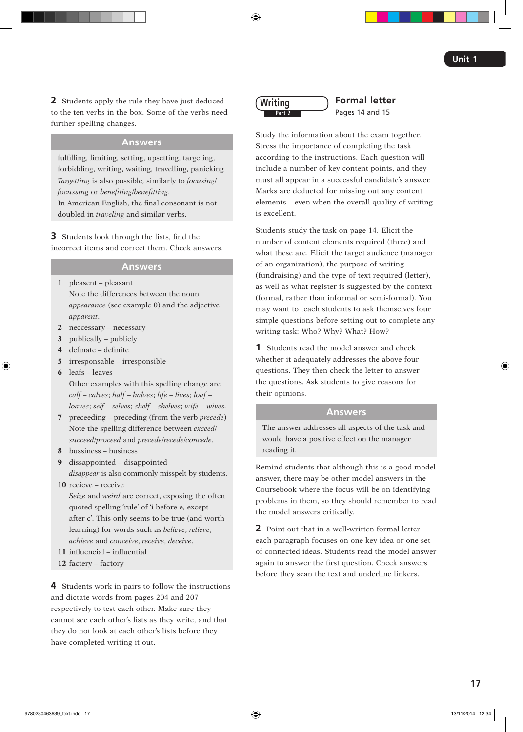**2** Students apply the rule they have just deduced to the ten verbs in the box. Some of the verbs need further spelling changes.

# **Answers**

fulfilling, limiting, setting, upsetting, targeting, forbidding, writing, waiting, travelling, panicking *Targetting* is also possible, similarly to *focusing*/ *focussing* or *benefiting*/*benefitting*. In American English, the final consonant is not doubled in *traveling* and similar verbs.

**3** Students look through the lists, find the incorrect items and correct them. Check answers.

# **Answers**

**1** pleasent – pleasant Note the differences between the noun *appearance* (see example 0) and the adjective *apparent*.

- **2** neccessary necessary
- **3** publically publicly
- **4** definate definite
- **5** irresponsable irresponsible
- **6** leafs leaves

Other examples with this spelling change are *calf* – *calves*; *half* – *halves*; *life* – *lives*; *loaf* – *loaves*; *self* – *selves*; *shelf* – *shelves*; *wife* – *wives.*

- **7** preceeding preceding (from the verb *precede*) Note the spelling difference between *exceed*/ *succeed*/*proceed* and *precede*/*recede*/*concede*.
- **8** bussiness business

**9** dissappointed – disappointed *disappear* is also commonly misspelt by students.

**10** recieve – receive

*Seize* and *weird* are correct, exposing the often quoted spelling 'rule' of 'i before e, except after c'. This only seems to be true (and worth learning) for words such as *believe*, *relieve*, *achieve* and *conceive*, *receive*, *deceive*.

- **11** influencial influential
- **12** factery factory

**4** Students work in pairs to follow the instructions and dictate words from pages 204 and 207 respectively to test each other. Make sure they cannot see each other's lists as they write, and that they do not look at each other's lists before they have completed writing it out.



**Formal letter** Pages 14 and 15

Study the information about the exam together. Stress the importance of completing the task according to the instructions. Each question will include a number of key content points, and they must all appear in a successful candidate's answer. Marks are deducted for missing out any content elements – even when the overall quality of writing is excellent.

Students study the task on page 14. Elicit the number of content elements required (three) and what these are. Elicit the target audience (manager of an organization), the purpose of writing (fundraising) and the type of text required (letter), as well as what register is suggested by the context (formal, rather than informal or semi-formal). You may want to teach students to ask themselves four simple questions before setting out to complete any writing task: Who? Why? What? How?

**1** Students read the model answer and check whether it adequately addresses the above four questions. They then check the letter to answer the questions. Ask students to give reasons for their opinions.

# **Answers**

The answer addresses all aspects of the task and would have a positive effect on the manager reading it.

Remind students that although this is a good model answer, there may be other model answers in the Coursebook where the focus will be on identifying problems in them, so they should remember to read the model answers critically.

**2** Point out that in a well-written formal letter each paragraph focuses on one key idea or one set of connected ideas. Students read the model answer again to answer the first question. Check answers before they scan the text and underline linkers.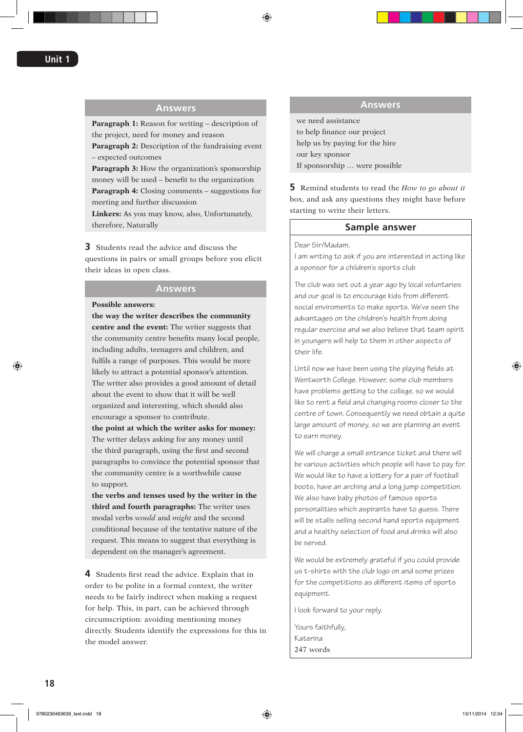# **Answers**

**Paragraph 1:** Reason for writing – description of the project, need for money and reason

**Paragraph 2:** Description of the fundraising event – expected outcomes

**Paragraph 3:** How the organization's sponsorship money will be used – benefit to the organization

**Paragraph 4:** Closing comments – suggestions for meeting and further discussion

**Linkers:** As you may know, also, Unfortunately, therefore, Naturally

**3** Students read the advice and discuss the questions in pairs or small groups before you elicit their ideas in open class.

# **Answers**

### **Possible answers:**

**the way the writer describes the community centre and the event:** The writer suggests that the community centre benefits many local people, including adults, teenagers and children, and fulfils a range of purposes. This would be more likely to attract a potential sponsor's attention. The writer also provides a good amount of detail about the event to show that it will be well organized and interesting, which should also encourage a sponsor to contribute.

**the point at which the writer asks for money:** The writer delays asking for any money until the third paragraph, using the first and second paragraphs to convince the potential sponsor that the community centre is a worthwhile cause to support.

**the verbs and tenses used by the writer in the third and fourth paragraphs:** The writer uses modal verbs *would* and *might* and the second conditional because of the tentative nature of the request. This means to suggest that everything is dependent on the manager's agreement.

**4** Students first read the advice. Explain that in order to be polite in a formal context, the writer needs to be fairly indirect when making a request for help. This, in part, can be achieved through circumscription: avoiding mentioning money directly. Students identify the expressions for this in the model answer.

### **Answers**

we need assistance to help finance our project help us by paying for the hire our key sponsor If sponsorship … were possible

**5** Remind students to read the *How to go about it*  box, and ask any questions they might have before starting to write their letters.

### **Sample answer**

Dear Sir/Madam,

I am writing to ask if you are interested in acting like a sponsor for a children's sports club.

The club was set out a year ago by local voluntaries and our goal is to encourage kids from different social enviroments to make sports. We've seen the advantages on the children's health from doing regular exercise and we also believe that team spirit in youngers will help to them in other aspects of their life.

Until now we have been using the playing fields at Wentworth College. However, some club members have problems getting to the college, so we would like to rent a field and changing rooms closer to the centre of town. Consequently we need obtain a quite large amount of money, so we are planning an event to earn money.

We will charge a small entrance ticket and there will be various activities which people will have to pay for. We would like to have a lottery for a pair of football boots, have an arching and a long jump competition. We also have baby photos of famous sports personalities which aspirants have to guess. There will be stalls selling second hand sports equipment and a healthy selection of food and drinks will also be served.

We would be extremely grateful if you could provide us t-shirts with the club logo on and some prizes for the competitions as different items of sports equipment.

I look forward to your reply.

Yours faithfully, Katerina 247 words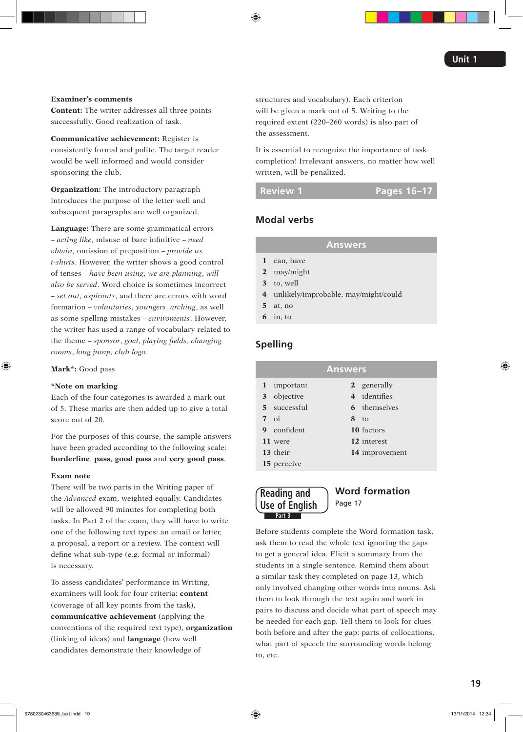#### **Examiner's comments**

**Content:** The writer addresses all three points successfully. Good realization of task.

**Communicative achievement:** Register is consistently formal and polite. The target reader would be well informed and would consider sponsoring the club.

**Organization:** The introductory paragraph introduces the purpose of the letter well and subsequent paragraphs are well organized.

**Language:** There are some grammatical errors – *acting like*, misuse of bare infinitive – *need obtain*, omission of preposition – *provide us t-shirts*. However, the writer shows a good control of tenses – *have been using*, *we are planning*, *will also be served*. Word choice is sometimes incorrect – *set out*, *aspirants*, and there are errors with word formation – *voluntaries*, *youngers*, *arching*, as well as some spelling mistakes – *enviroments*. However, the writer has used a range of vocabulary related to the theme – *sponsor*, *goal*, *playing fields*, *changing rooms*, *long jump*, *club logo*.

**Mark\*:** Good pass

### **\*Note on marking**

Each of the four categories is awarded a mark out of 5. These marks are then added up to give a total score out of 20.

For the purposes of this course, the sample answers have been graded according to the following scale: **borderline**, **pass**, **good pass** and **very good pass**.

#### **Exam note**

There will be two parts in the Writing paper of the *Advanced* exam, weighted equally. Candidates will be allowed 90 minutes for completing both tasks. In Part 2 of the exam, they will have to write one of the following text types: an email or letter, a proposal, a report or a review. The context will define what sub-type (e.g. formal or informal) is necessary.

To assess candidates' performance in Writing, examiners will look for four criteria: **content** (coverage of all key points from the task), **communicative achievement** (applying the conventions of the required text type), **organization** (linking of ideas) and **language** (how well candidates demonstrate their knowledge of

structures and vocabulary). Each criterion will be given a mark out of 5. Writing to the required extent (220–260 words) is also part of the assessment.

It is essential to recognize the importance of task completion! Irrelevant answers, no matter how well written, will be penalized.

**Review 1 Pages 16–17**

# **Modal verbs**

# **Answers**

- **1** can, have
- **2** may/might
- **3** to, well
- **4** unlikely/improbable, may/might/could
- **5** at, no
- **6** in, to

# **Spelling**

| <b>Answers</b> |              |                 |                     |  |  |
|----------------|--------------|-----------------|---------------------|--|--|
|                | 1 important  |                 | 2 generally         |  |  |
|                | 3 objective  |                 | 4 identifies        |  |  |
|                | 5 successful |                 | <b>6</b> themselves |  |  |
| $7 \text{ of}$ |              | 8 <sub>to</sub> |                     |  |  |
|                | 9 confident  |                 | 10 factors          |  |  |
|                | 11 were      |                 | 12 interest         |  |  |
|                | 13 their     |                 | 14 improvement      |  |  |
|                | 15 perceive  |                 |                     |  |  |



# **Word formation**  Page 17

Before students complete the Word formation task, ask them to read the whole text ignoring the gaps to get a general idea. Elicit a summary from the students in a single sentence. Remind them about a similar task they completed on page 13, which only involved changing other words into nouns. Ask them to look through the text again and work in pairs to discuss and decide what part of speech may be needed for each gap. Tell them to look for clues both before and after the gap: parts of collocations, what part of speech the surrounding words belong to, etc.